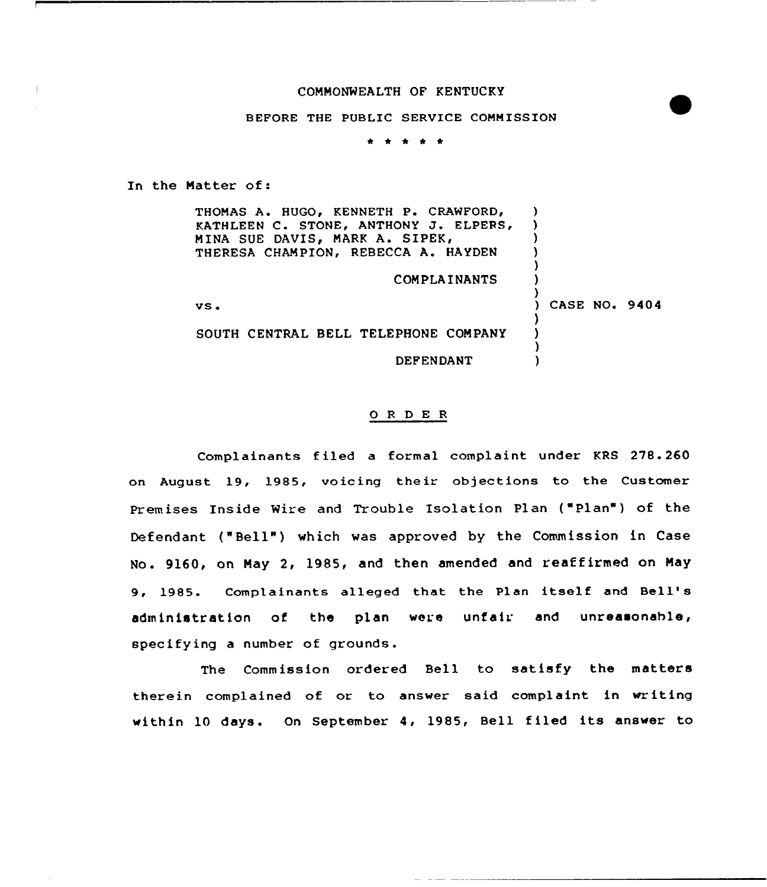### COMMONWEALTH OF KENTUCKY

### BEFORE THE PUBLIC SERVICE COMMISSION

\* \* <sup>4</sup> \* \*

In the Matter of:

THOMAS A. HUGO, KENNETH P. CRAWFORD, KATHLEEN C. STONE, ANTHONY J. ELPERS, MINA SUE DAVIS, MARK A. SIPEK, THERESA CHAMPION, REBECCA A. HAYDEN

COMPLAINANTS

vs <sup>~</sup>

SOUTH CENTRAL BELL TELEPHONE COMPANY

DEFENDANT

### 0 <sup>R</sup> <sup>D</sup> E R

Complainants filed a formal complaint under KRS 278.260 on August 19, 1985, voicing their objections to the Customer Premises Inside Wire and Trouble Isolation Plan ("Plan") of the Def endant ("Bell" ) which was approved by the Commission in Case No. 9160, on May 2, 1985, and then amended and reaffirmed on May 9, 1985. Complainants alleged that the Plan itself and Bell' administration of the plan were unfair and unreasonable, specifying a number of grounds.

The Commission ordered Bell to satisfy the matters therein complained of or to answer said complaint in writing within 10 days. On September 4, 1985, Bell filed its answer to

) CASE NO» 9404

)  $\lambda$ ) ) ) )

)  $\lambda$ ) )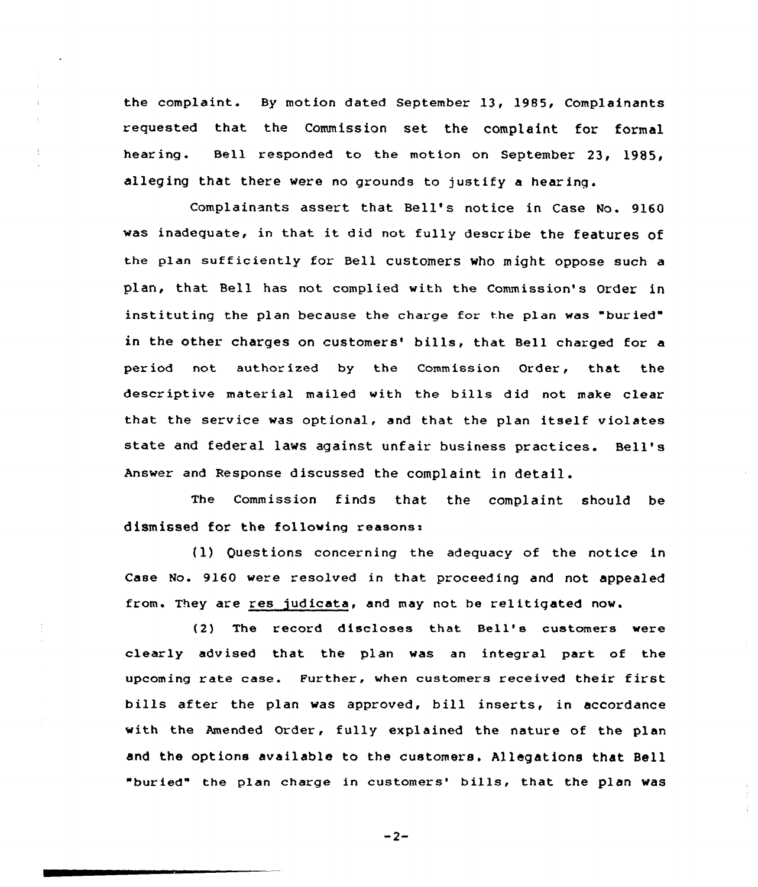the complaint. By motion dated September 13, 19S5, Complainants requested that the Commission set the complaint for formal hearing. Bell responded to the motion on September 23, 1985, alleging that there were no grounds to justify a hear inq.

Complainants assert that Bell's notice in Case No. 9160 was inadequate, in that it did not fully describe the features of the plan sufficiently for Bell customers who might oppose such a plan, that Bell has not complied with the Commission's Order in instituting the plan because the charge for the plan was "buried" in the other charges on customers' bills, that Bell charged for a per iod not author ized by the Commission Order, that the descriptive material mailed with the bills did not make clear that the service was optional, and that the plan itself violates state and federal laws against unfair business practices. Bell's Answer and Response discussed the complaint in detail.

The Commission finds that the complaint should be dismissed for the following reasons:

(1) Questions concerning the adequacy of the notice in Case No. 9160 were resolved in that proceeding and not appealed from. They are res judicata, and may not be relitigated now.

(2) The record discloses that Bell's customers were clearly advised that the plan was an integral part of the upcoming rate case. Further, when customers received their first bills after the plan was approved, bill inserts, in accordance with the Amended Order, fully explained the nature of the plan and the options available to the customers. Allegations that Bell "buried" the plan charge in customers' bills, that the plan was

 $-2-$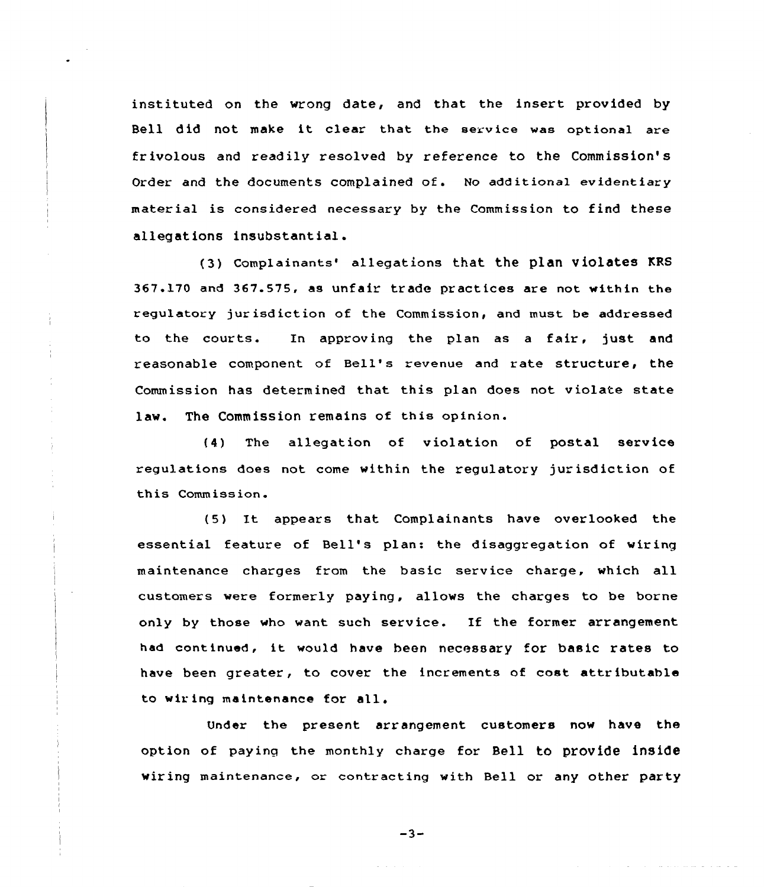instituted on the wrong date, and that the insert provided by Bell did not make it clear that the service was optional are frivolous and readily resolved by reference to the Commission's Order and the documents complained of. No additional evidentiary mater ial is considered necessary by the Commission to find these allegations insubstantial.

(3) Complainants' allegations that the plan violates KRS 367.l70 and 367.575, as unfair trade practices are not within the regulatory jur isd ict ion of the Commission, and must be addressed to the courts. In approving the plan as <sup>a</sup> fair, just and reasonable component of Bell's revenue and rate structure, the Commission has determined that this plan does not violate state law. The Commission remains of this opinion.

ł

(4) The allegation of violation of postal service regulations does not come within the regulatory jurisdiction of this Comm iss ion.

(5) It appears that Complainants have overlooked the essential feature of Bell's plan: the disaggregation of wiring maintenance charges from the basic service charge, which all customers were formerly paying, allows the charges to be borne only by those who want such service. If the former arrangement had continued, it would have been necessary for basic rates to have been greater, to cover the increments of cost attributable to wiring maintenance for all.

Under the present arrangement customers now have the option of paying the monthly charge for Bell to provide inside wiring maintenance, or contracting with Bell or any other party

-3-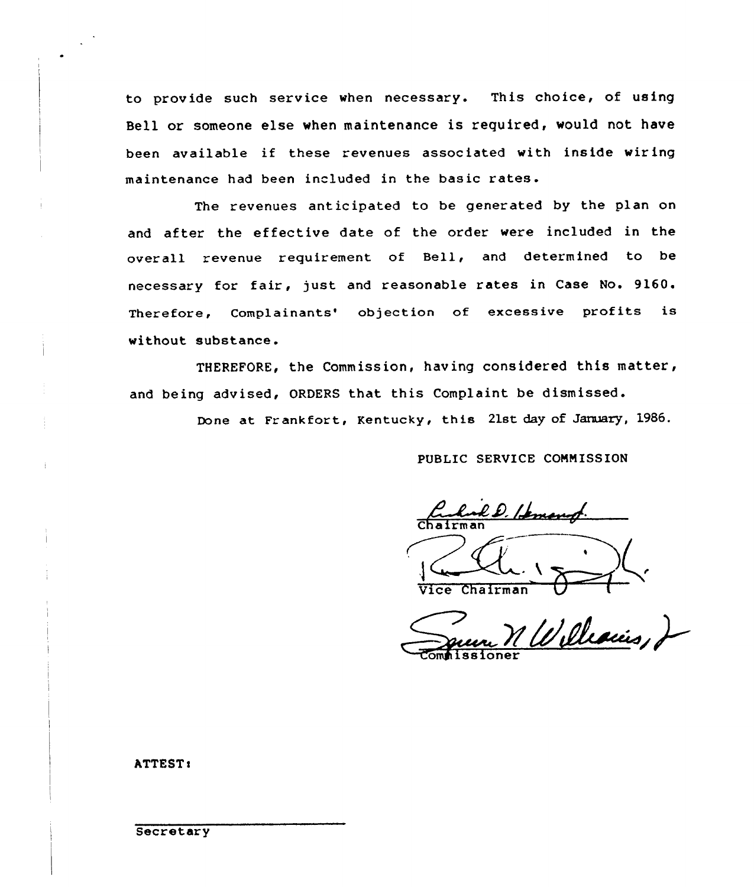to provide such service when necessary. This choice, of using Bell or someone else when maintenance is required, would not have been available if these revenues associated with inside wiring maintenance had been included in the basic rates.

The revenues anticipated to be generated by the plan on and after the effective date of the order were included in the overall revenue requirement of Bell, and determined to be necessary for fair, just and reasonable rates in Case No. 9160. Therefore, Complainants' objection of excessive profits is without substance.

THEREFORE, the Commission, having considered this matter, and being advised, ORDERS that this Complaint be dismissed.

Done at Frankfort, Kentucky, this 21st day of January, 1986.

PUBLIC SERVICE COMMISSION

Chairman

Vice Chairman

omhissione

ATTEST:

**Secretary**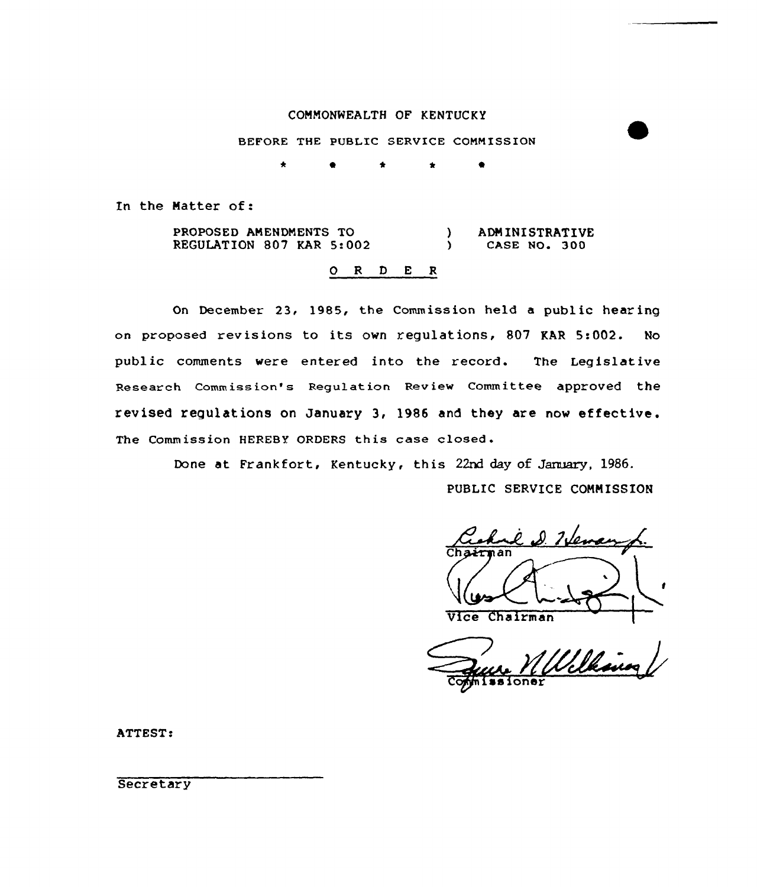## COMMONWEALTH OF KENTUCKY

BEFORE THE PUBLIC SERVICE COMMISSION

\* 0 \* 0

In the Natter of:

PROPOSED AMENDMENTS TO REGULATION 807 KAR 5:002 ) ADMINISTRATIVE<br>
) CASE NO. 300 CASE NO. 300

# O R D E R

On December 23, 1985, the Commission held a public hearing on proposed revisions to its ovn regulations, 807 KAR 5:002. No public comments vere entered into the record. The Legislative Research Commission's Regulation Review Committee approved the revised regulations on January 3, 1986 and they are nov effective. The Commission HEREBY ORDERS this case closed.

Done at Frankfort, Kentucky, this 22nd day of January, 1986.

PUBLIC SERVICE COMMISSION

Vice Chairman

re William

ATTEST:

**Secretary**